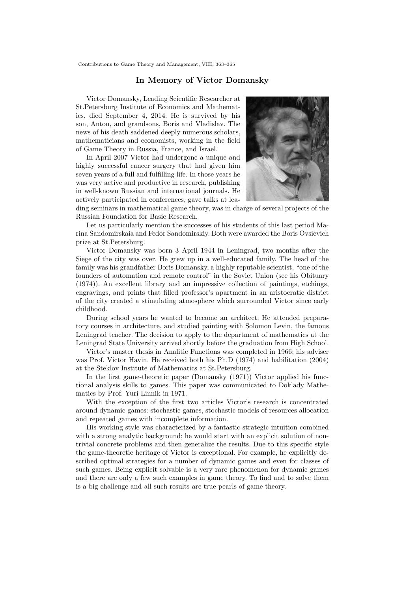## In Memory of Victor Domansky

Victor Domansky, Leading Scientific Researcher at St.Petersburg Institute of Economics and Mathematics, died September 4, 2014. He is survived by his son, Anton, and grandsons, Boris and Vladislav. The news of his death saddened deeply numerous scholars, mathematicians and economists, working in the field of Game Theory in Russia, France, and Israel.

In April 2007 Victor had undergone a unique and highly successful cancer surgery that had given him seven years of a full and fulfilling life. In those years he was very active and productive in research, publishing in well-known Russian and international journals. He actively participated in conferences, gave talks at lea-



ding seminars in mathematical game theory, was in charge of several projects of the Russian Foundation for Basic Research.

Let us particularly mention the successes of his students of this last period Marina Sandomirskaia and Fedor Sandomirskiy. Both were awarded the Boris Ovsievich prize at St.Petersburg.

Victor Domansky was born 3 April 1944 in Leningrad, two months after the Siege of the city was over. He grew up in a well-educated family. The head of the family was his grandfather Boris Domansky, a highly reputable scientist, "one of the founders of automation and remote control" in the Soviet Union (see his Obituary (1974)). An excellent library and an impressive collection of paintings, etchings, engravings, and prints that filled professor's apartment in an aristocratic district of the city created a stimulating atmosphere which surrounded Victor since early childhood.

During school years he wanted to become an architect. He attended preparatory courses in architecture, and studied painting with Solomon Levin, the famous Leningrad teacher. The decision to apply to the department of mathematics at the Leningrad State University arrived shortly before the graduation from High School.

Victor's master thesis in Analitic Functions was completed in 1966; his adviser was Prof. Victor Havin. He received both his Ph.D (1974) and habilitation (2004) at the Steklov Institute of Mathematics at St.Petersburg.

In the first game-theoretic paper (Domansky (1971)) Victor applied his functional analysis skills to games. This paper was communicated to Doklady Mathematics by Prof. Yuri Linnik in 1971.

With the exception of the first two articles Victor's research is concentrated around dynamic games: stochastic games, stochastic models of resources allocation and repeated games with incomplete information.

His working style was characterized by a fantastic strategic intuition combined with a strong analytic background; he would start with an explicit solution of nontrivial concrete problems and then generalize the results. Due to this specific style the game-theoretic heritage of Victor is exceptional. For example, he explicitly described optimal strategies for a number of dynamic games and even for classes of such games. Being explicit solvable is a very rare phenomenon for dynamic games and there are only a few such examples in game theory. To find and to solve them is a big challenge and all such results are true pearls of game theory.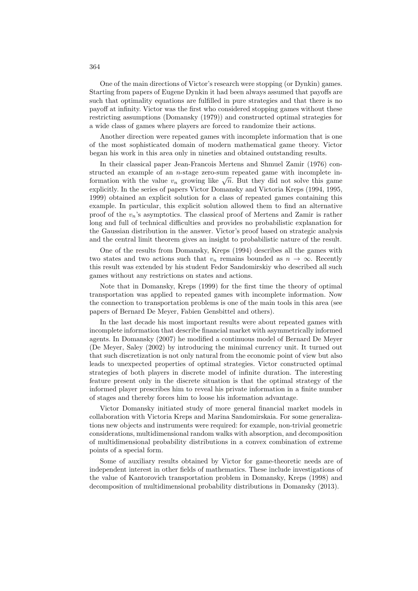One of the main directions of Victor's research were stopping (or Dynkin) games. Starting from papers of Eugene Dynkin it had been always assumed that payoffs are such that optimality equations are fulfilled in pure strategies and that there is no payoff at infinity. Victor was the first who considered stopping games without these restricting assumptions (Domansky (1979)) and constructed optimal strategies for a wide class of games where players are forced to randomize their actions.

Another direction were repeated games with incomplete information that is one of the most sophisticated domain of modern mathematical game theory. Victor began his work in this area only in nineties and obtained outstanding results.

In their classical paper Jean-Francois Mertens and Shmuel Zamir (1976) constructed an example of an n-stage zero-sum repeated game with incomplete information with the value  $v_n$  growing like  $\sqrt{n}$ . But they did not solve this game explicitly. In the series of papers Victor Domansky and Victoria Kreps (1994, 1995, 1999) obtained an explicit solution for a class of repeated games containing this example. In particular, this explicit solution allowed them to find an alternative proof of the  $v_n$ 's asymptotics. The classical proof of Mertens and Zamir is rather long and full of technical difficulties and provides no probabilistic explanation for the Gaussian distribution in the answer. Victor's proof based on strategic analysis and the central limit theorem gives an insight to probabilistic nature of the result.

One of the results from Domansky, Kreps (1994) describes all the games with two states and two actions such that  $v_n$  remains bounded as  $n \to \infty$ . Recently this result was extended by his student Fedor Sandomirskiy who described all such games without any restrictions on states and actions.

Note that in Domansky, Kreps (1999) for the first time the theory of optimal transportation was applied to repeated games with incomplete information. Now the connection to transportation problems is one of the main tools in this area (see papers of Bernard De Meyer, Fabien Gensbittel and others).

In the last decade his most important results were about repeated games with incomplete information that describe financial market with asymmetrically informed agents. In Domansky (2007) he modified a continuous model of Bernard De Meyer (De Meyer, Saley (2002) by introducing the minimal currency unit. It turned out that such discretization is not only natural from the economic point of view but also leads to unexpected properties of optimal strategies. Victor constructed optimal strategies of both players in discrete model of infinite duration. The interesting feature present only in the discrete situation is that the optimal strategy of the informed player prescribes him to reveal his private information in a finite number of stages and thereby forces him to loose his information advantage.

Victor Domansky initiated study of more general financial market models in collaboration with Victoria Kreps and Marina Sandomirskaia. For some generalizations new objects and instruments were required: for example, non-trivial geometric considerations, multidimensional random walks with absorption, and decomposition of multidimensional probability distributions in a convex combination of extreme points of a special form.

Some of auxiliary results obtained by Victor for game-theoretic needs are of independent interest in other fields of mathematics. These include investigations of the value of Kantorovich transportation problem in Domansky, Kreps (1998) and decomposition of multidimensional probability distributions in Domansky (2013).

364